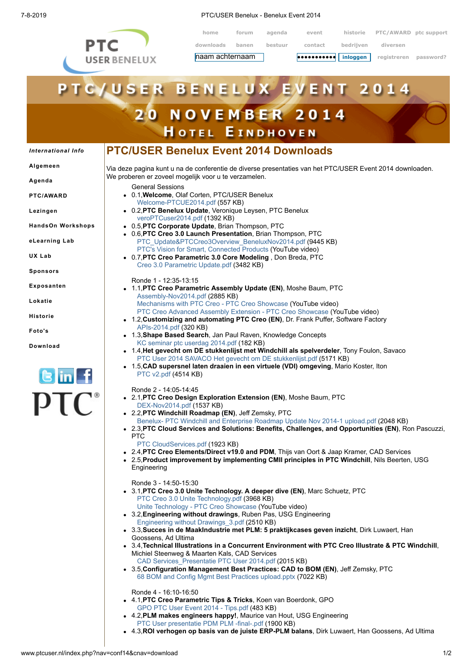

7-8-2019 PTC/USER Benelux - Benelux Event 2014

**home forum agenda event historie PTC/AWARD ptc support downloads banen bestuur contact bedrijven diversen haam achternaam is den veroorden veroorden** registreren password? **•••••••••••**

## **C**/USER в E **VENT** 2014 L U **20 NOVEMBER 2014 HOTEL EINDHOVEN PTC/USER Benelux Event 2014 Downloads** *[International](http://www.ptcuser.nl/index.php?nav=conf14&cnav=international) Info* **[Algemeen](http://www.ptcuser.nl/index.php?nav=conf14&cnav=algemeen)** Via deze pagina kunt u na de conferentie de diverse presentaties van het PTC/USER Event 2014 downloaden. We proberen er zoveel mogelijk voor u te verzamelen. **[Agenda](http://www.ptcuser.nl/index.php?nav=conf14&cnav=agenda)** General Sessions 0.1,**Welcome**, Olaf Corten, PTC/USER Benelux **[PTC/AWARD](http://www.ptcuser.nl/index.php?nav=conf14&cnav=award)** [Welcome-PTCUE2014.pdf](http://www.ptcuser.nl/conf_14/presentations/0-1-Welcome/0-1-Welcome-PTCUE2014.pdf) (557 KB) 0.2,**PTC Benelux Update**, Veronique Leysen, PTC Benelux **[Lezingen](http://www.ptcuser.nl/index.php?nav=conf14&cnav=lezingen)** [veroPTCuser2014.pdf](http://www.ptcuser.nl/conf_14/presentations/0-2-PTC%20Benelux%20Update/veroPTCuser2014.pdf) (1392 KB) 0.5,**PTC Corporate Update**, Brian Thompson, PTC **HandsOn [Workshops](http://www.ptcuser.nl/index.php?nav=conf14&cnav=how)** 0.6,**PTC Creo 3.0 Launch Presentation**, Brian Thompson, PTC **[eLearning](http://www.ptcuser.nl/index.php?nav=conf14&cnav=elearninglab) Lab** [PTC\\_Update&PTCCreo3Overview\\_BeneluxNov2014.pdf](http://www.ptcuser.nl/conf_14/presentations/0-5-PTC%20Corporate%20Update%20-%20PTC%20Creo%203.0%20Launch%20Presentation/PTC_Update&PTCCreo3Overview_BeneluxNov2014.pdf) (9445 KB) [PTC's Vision for Smart, Connected Products](http://www.youtube.com/watch?v=E_BbAcBAqnQ) (YouTube video) **UX [Lab](http://www.ptcuser.nl/index.php?nav=conf14&cnav=uxlab)** 0.7,**PTC Creo Parametric 3.0 Core Modeling** , Don Breda, PTC [Creo 3.0 Parametric Update.pdf](http://www.ptcuser.nl/conf_14/presentations/0-7-PTC%20Creo%20Parametric%203.0%20Core%20Modeling/Creo%203.0%20Parametric%20Update.pdf) (3482 KB) **[Sponsors](http://www.ptcuser.nl/index.php?nav=conf14&cnav=sponsors)** Ronde 1 - 12:35-13:15 **[Exposanten](http://www.ptcuser.nl/index.php?nav=conf14&cnav=exposanten)** 1.1,**PTC Creo Parametric Assembly Update (EN)**, Moshe Baum, PTC [Assembly-Nov2014.pdf](http://www.ptcuser.nl/conf_14/presentations/1-1-PTC%20Creo%20Parametric%20Assembly%20Update/Assembly-Nov2014.pdf) (2885 KB) **[Lokatie](http://www.ptcuser.nl/index.php?nav=conf14&cnav=lokatie)** [Mechanisms with PTC Creo - PTC Creo Showcase](http://www.youtube.com/watch?v=MPEIT04xXaM) (YouTube video) [PTC Creo Advanced Assembly Extension - PTC Creo Showcase](https://www.youtube.com/watch?v=QHZSQIsuxKk) (YouTube video) **[Historie](http://www.ptcuser.nl/index.php?nav=conf14&cnav=historie)** 1.2,**Customizing and automating PTC Creo (EN)**, Dr. Frank Puffer, Software Factory [APIs-2014.pdf](http://www.ptcuser.nl/conf_14/presentations/1-2-Customizing%20and%20Automating%20PTC%20Creo/APIs-2014.pdf) (320 KB) **[Foto's](http://www.ptcuser.nl/index.php?nav=conf14&cnav=fotos)** 1.3,**Shape Based Search**, Jan Paul Raven, Knowledge Concepts [KC seminar ptc userdag 2014.pdf](http://www.ptcuser.nl/conf_14/presentations/1-3-Shape%20Based%20Search/KC%20seminar%20ptc%20userdag%202014.pdf) (182 KB) **[Download](http://www.ptcuser.nl/index.php?nav=conf14&cnav=download)** 1.4,**Het gevecht om DE stukkenlijst met Windchill als spelverdeler**, Tony Foulon, Savaco [PTC User 2014 SAVACO Het gevecht om DE stukkenlijst.pdf](http://www.ptcuser.nl/conf_14/presentations/1-4-Het%20gevecht%20om%20DE%20stukkenlijst%20met%20PTC%20Windchill%20als%20spelverdeler/PTC%20User%202014%20SAVACO%20Het%20gevecht%20om%20DE%20stukkenlijst.pdf) (5171 KB) 1.5,**CAD supersnel laten draaien in een virtuele (VDI) omgeving**, Mario Koster, Iton [PTC v2.pdf](http://www.ptcuser.nl/conf_14/presentations/1-5-CAD%20supersnel%20laten%20draaien%20in%20een%20virtuele%20(VDI)%20omgeving/PTC%20v2.pdf) (4514 KB) Ronde 2 - 14:05-14:45 2.1,**PTC Creo Design Exploration Extension (EN)**, Moshe Baum, PTC [DEX-Nov2014.pdf](http://www.ptcuser.nl/conf_14/presentations/2-1-PTC%20Creo%20Design%20Exploration%20Extension/DEX-Nov2014.pdf) (1537 KB) 2.2,**PTC Windchill Roadmap (EN)**, Jeff Zemsky, PTC [Benelux- PTC Windchill and Enterprise Roadmap Update Nov 2014-1 upload.pdf](http://www.ptcuser.nl/conf_14/presentations/2-2-PTC%20Windchill%20Roadmap/Benelux-%20PTC%20Windchill%20and%20Enterprise%20Roadmap%20Update%20Nov%202014-1%20upload.pdf) (2048 KB) 2.3,**PTC Cloud Services and Solutions: Benefits, Challenges, and Opportunities (EN)**, Ron Pascuzzi,  $\bullet$ PTC [PTC CloudServices.pdf](http://www.ptcuser.nl/conf_14/presentations/2-3-PTC%20Cloud%20Services%20and%20Solutions%20Benefits,%20Challenges,%20and%20Opportunities%20(EN),/PTC%20CloudServices.pdf) (1923 KB) 2.4,**PTC Creo Elements/Direct v19.0 and PDM**, Thijs van Oort & Jaap Kramer, CAD Services 2.5,**Product improvement by implementing CMII principles in PTC Windchill**, Nils Beerten, USG **Engineering** Ronde 3 - 14:50-15:30 3.1,**PTC Creo 3.0 Unite Technology. A deeper dive (EN)**, Marc Schuetz, PTC [PTC Creo 3.0 Unite Technology.pdf](http://www.ptcuser.nl/conf_14/presentations/3-1-PTC%20Creo%203.0%20Unite%20Technology.%20A%20deeper%20dive/PTC%20Creo%203.0%20Unite%20Technology.pdf) (3968 KB) [Unite Technology - PTC Creo Showcase](http://www.youtube.com/watch?v=TH_Dimrwh5c) (YouTube video) 3.2,**Engineering without drawings**, Ruben Pas, USG Engineering [Engineering without Drawings\\_3.pdf](http://www.ptcuser.nl/conf_14/presentations/3-2-Engineering%20without%20drawings/Engineering%20without%20Drawings_3.pdf) (2510 KB) 3.3,**Succes in de MaakIndustrie met PLM: 5 praktijkcases geven inzicht**, Dirk Luwaert, Han Goossens, Ad Ultima 3.4,**Technical Illustrations in a Concurrent Environment with PTC Creo Illustrate & PTC Windchill**, Michiel Steenweg & Maarten Kals, CAD Services [CAD Services\\_Presentatie PTC User 2014.pdf](http://www.ptcuser.nl/conf_14/presentations/3-4-Technical%20Illustrations%20in%20a%20Concurrent%20Environment%20with%20PTC%20Creo%20Illustrate%20&%20PTC%20Windchill/CAD%20Services_Presentatie%20PTC%20User%202014.pdf) (2015 KB) 3.5,**Configuration Management Best Practices: CAD to BOM (EN)**, Jeff Zemsky, PTC [68 BOM and Config Mgmt Best Practices upload.pptx](http://www.ptcuser.nl/conf_14/presentations/3-5-Configuration%20Management%20Best%20Practices%20CAD%20to%20BOM%20(EN)/68%20BOM%20and%20Config%20Mgmt%20Best%20Practices%20upload.pptx) (7022 KB) Ronde 4 - 16:10-16:50 4.1,**PTC Creo Parametric Tips & Tricks**, Koen van Boerdonk, GPO [GPO PTC User Event 2014 - Tips.pdf](http://www.ptcuser.nl/conf_14/presentations/4-1-PTC%20Creo%20Parametric%20Tips&Tricks/GPO%20PTC%20User%20Event%202014%20-%20Tips.pdf) (483 KB) 4.2,**PLM makes engineers happy!**, Maurice van Hout, USG Engineering [PTC User presentatie PDM PLM -final-.pdf](http://www.ptcuser.nl/conf_14/presentations/4-2-PLM%20makes%20engineers%20happy!/PTC%20User%20presentatie%20PDM%20PLM%20-final-.pdf) (1900 KB) 4.3,**ROI verhogen op basis van de juiste ERP-PLM balans**, Dirk Luwaert, Han Goossens, Ad Ultima